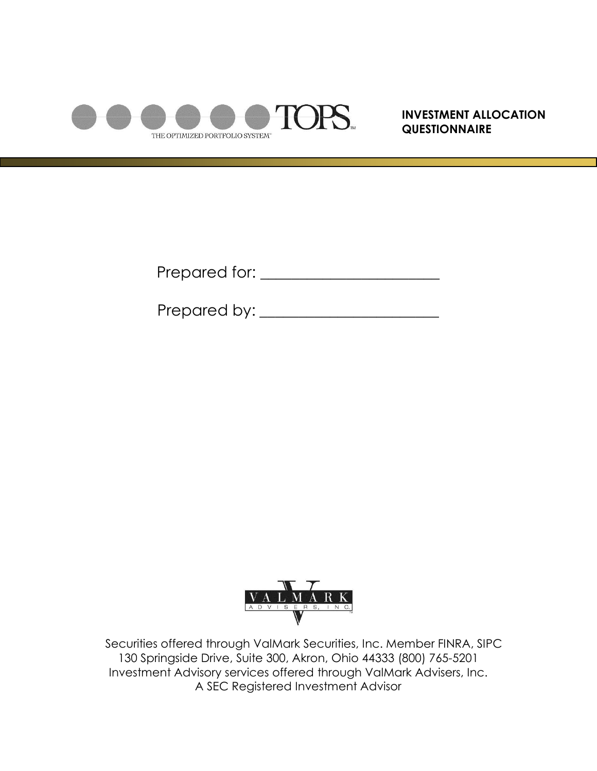

**INVESTMENT ALLOCATION QUESTIONNAIRE**

Prepared for: \_\_\_\_\_\_\_\_\_\_\_\_\_\_\_\_\_\_\_\_\_\_\_

Prepared by: \_\_\_\_\_\_\_\_\_\_\_\_\_\_\_\_\_\_\_\_\_\_\_



Securities offered through ValMark Securities, Inc. Member FINRA, SIPC 130 Springside Drive, Suite 300, Akron, Ohio 44333 (800) 765-5201 Investment Advisory services offered through ValMark Advisers, Inc. A SEC Registered Investment Advisor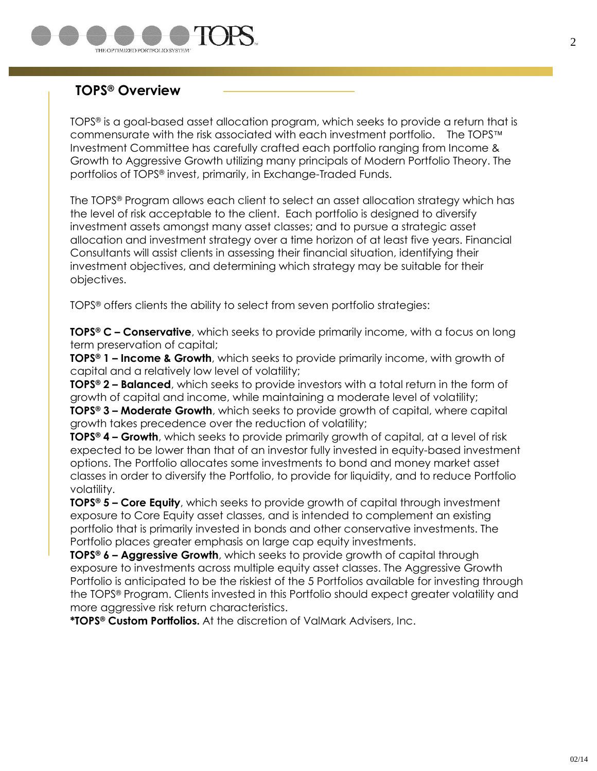

## **TOPS® Overview**

TOPS® is a goal-based asset allocation program, which seeks to provide a return that is commensurate with the risk associated with each investment portfolio. The TOPS Investment Committee has carefully crafted each portfolio ranging from Income & Growth to Aggressive Growth utilizing many principals of Modern Portfolio Theory. The portfolios of TOPS® invest, primarily, in Exchange-Traded Funds.

The TOPS® Program allows each client to select an asset allocation strategy which has the level of risk acceptable to the client. Each portfolio is designed to diversify investment assets amongst many asset classes; and to pursue a strategic asset allocation and investment strategy over a time horizon of at least five years. Financial Consultants will assist clients in assessing their financial situation, identifying their investment objectives, and determining which strategy may be suitable for their objectives.

TOPS® offers clients the ability to select from seven portfolio strategies:

**TOPS® C – Conservative**, which seeks to provide primarily income, with a focus on long term preservation of capital;

**TOPS® 1 – Income & Growth**, which seeks to provide primarily income, with growth of capital and a relatively low level of volatility;

**TOPS ® 2 – Balanced**, which seeks to provide investors with a total return in the form of growth of capital and income, while maintaining a moderate level of volatility;

**TOPS® 3 – Moderate Growth**, which seeks to provide growth of capital, where capital growth takes precedence over the reduction of volatility;

**TOPS® 4 – Growth**, which seeks to provide primarily growth of capital, at a level of risk expected to be lower than that of an investor fully invested in equity-based investment options. The Portfolio allocates some investments to bond and money market asset classes in order to diversify the Portfolio, to provide for liquidity, and to reduce Portfolio volatility.

**TOPS® 5 – Core Equity**, which seeks to provide growth of capital through investment exposure to Core Equity asset classes, and is intended to complement an existing portfolio that is primarily invested in bonds and other conservative investments. The Portfolio places greater emphasis on large cap equity investments.

**TOPS® 6 – Aggressive Growth**, which seeks to provide growth of capital through exposure to investments across multiple equity asset classes. The Aggressive Growth Portfolio is anticipated to be the riskiest of the 5 Portfolios available for investing through the TOPS® Program. Clients invested in this Portfolio should expect greater volatility and more aggressive risk return characteristics.

**\*TOPS® Custom Portfolios.** At the discretion of ValMark Advisers, Inc.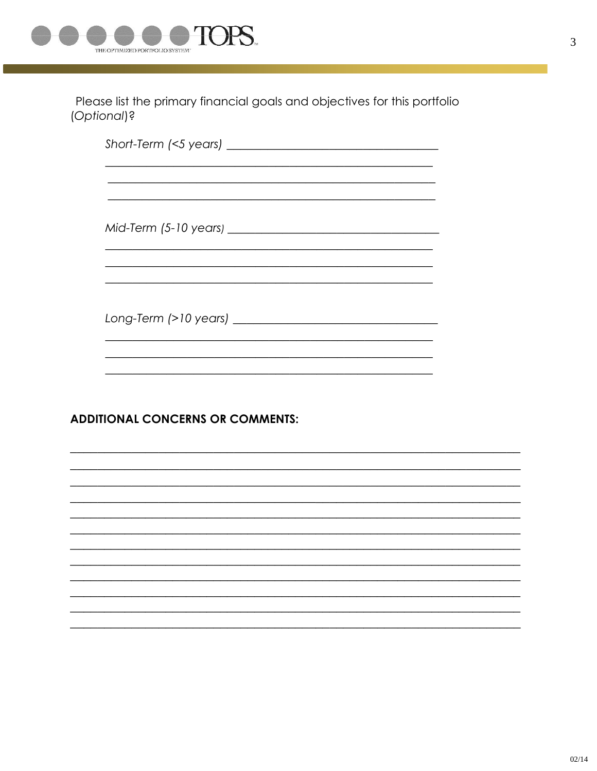

Please list the primary financial goals and objectives for this portfolio (Optional)?

## **ADDITIONAL CONCERNS OR COMMENTS:**

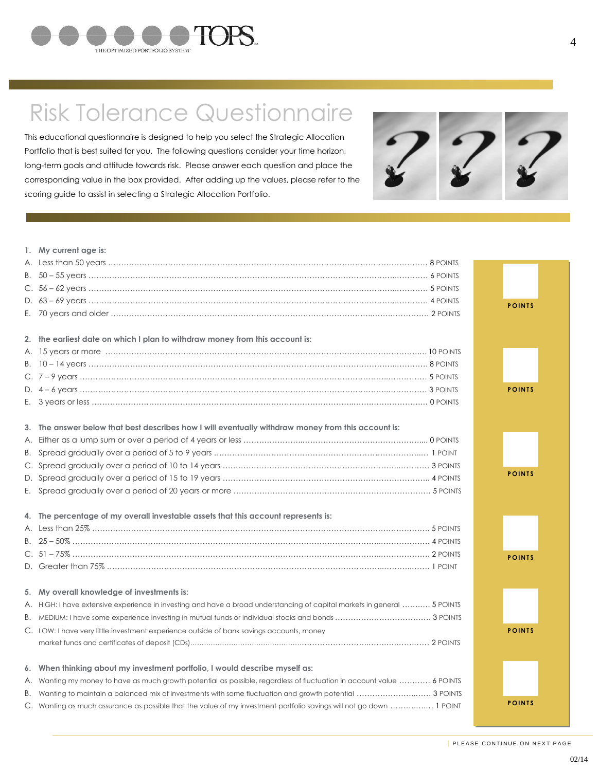

## Risk Tolerance Questionnaire

This educational questionnaire is designed to help you select the Strategic Allocation Portfolio that is best suited for you. The following questions consider your time horizon, long-term goals and attitude towards risk. Please answer each question and place the corresponding value in the box provided. After adding up the values, please refer to the scoring guide to assist in selecting a Strategic Allocation Portfolio.



|    | 1. My current age is:                                                                                                    |               |
|----|--------------------------------------------------------------------------------------------------------------------------|---------------|
|    |                                                                                                                          |               |
|    |                                                                                                                          |               |
|    |                                                                                                                          |               |
|    |                                                                                                                          |               |
|    |                                                                                                                          | <b>POINTS</b> |
|    |                                                                                                                          |               |
|    | 2. the earliest date on which I plan to withdraw money from this account is:                                             |               |
|    |                                                                                                                          |               |
| В. |                                                                                                                          |               |
|    |                                                                                                                          |               |
|    |                                                                                                                          | <b>POINTS</b> |
|    |                                                                                                                          |               |
|    |                                                                                                                          |               |
|    | 3. The answer below that best describes how I will eventually withdraw money from this account is:                       |               |
| А. |                                                                                                                          |               |
| В. |                                                                                                                          |               |
|    |                                                                                                                          |               |
|    |                                                                                                                          | <b>POINTS</b> |
|    |                                                                                                                          |               |
|    |                                                                                                                          |               |
|    | 4. The percentage of my overall investable assets that this account represents is:                                       |               |
|    |                                                                                                                          |               |
|    |                                                                                                                          |               |
|    |                                                                                                                          | <b>POINTS</b> |
|    |                                                                                                                          |               |
|    |                                                                                                                          |               |
|    | 5. My overall knowledge of investments is:                                                                               |               |
|    | A. HIGH: I have extensive experience in investing and have a broad understanding of capital markets in general  5 POINTS |               |
|    |                                                                                                                          |               |
|    | C. LOW: I have very little investment experience outside of bank savings accounts, money                                 | <b>POINTS</b> |
|    |                                                                                                                          |               |
|    |                                                                                                                          |               |
|    | 6. When thinking about my investment portfolio, I would describe myself as:                                              |               |
|    | A. Wanting my money to have as much growth potential as possible, regardless of fluctuation in account value  6 POINTS   |               |
|    | B. Wanting to maintain a balanced mix of investments with some fluctuation and growth potential  3 POINTS                |               |
|    | C. Wanting as much assurance as possible that the value of my investment portfolio savings will not go down  1 POINT     | <b>POINTS</b> |
|    |                                                                                                                          |               |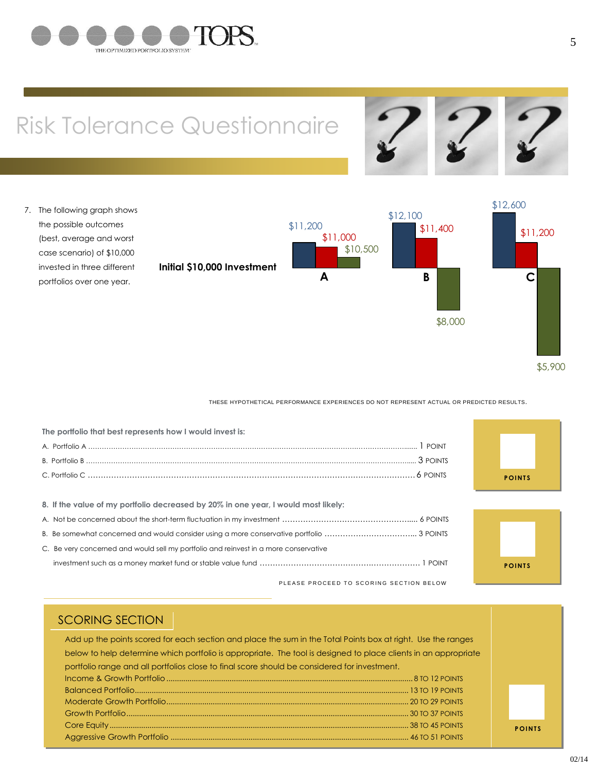

# Risk Tolerance Questionnaire



7. The following graph shows the possible outcomes (best, average and worst case scenario) of \$10,000 invested in three different portfolios over one year.



#### THESE HYPOTHETICAL PERFORMANCE EXPERIENCES DO NOT REPRESENT ACTUAL OR PREDICTED RESULTS.

| The portfolio that best represents how I would invest is:                            |  |
|--------------------------------------------------------------------------------------|--|
|                                                                                      |  |
|                                                                                      |  |
|                                                                                      |  |
|                                                                                      |  |
| 8. If the value of my portfolio decreased by 20% in one year, I would most likely:   |  |
|                                                                                      |  |
|                                                                                      |  |
| C. Be very concerned and would sell my portfolio and reinvest in a more conservative |  |

PLEASE PROCEED TO SCORING SECTION BELOW





**P O I N T S**

#### SCORING SECTION

Add up the points scored for each section and place the sum in the Total Points box at right. Use the ranges below to help determine which portfolio is appropriate. The tool is designed to place clients in an appropriate portfolio range and all portfolios close to final score should be considered for investment. Income & Growth Portfolio..................................................................................................................... 8 TO 12 POINTS Balanced Portfolio.................................................................................................................................. 13 TO 19 POINTS Moderate Growth Portfolio................................................................................................................... 20 TO 29 POINTS Growth Portfolio...................................................................................................................................... 30 TO 37 POINTS Core Equity.............................................................................................................................................. 38 TO 45 POINTS Aggressive Growth Portfolio ................................................................................................................. 46 TO 51 POINTS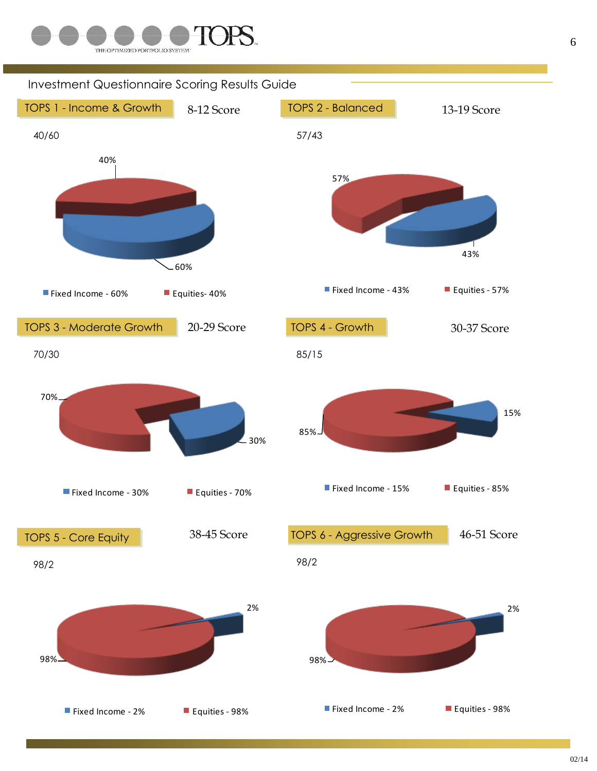